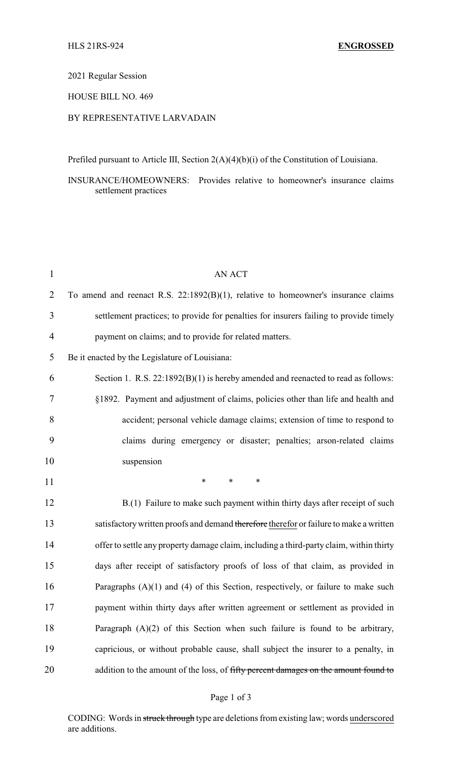## 2021 Regular Session

### HOUSE BILL NO. 469

## BY REPRESENTATIVE LARVADAIN

Prefiled pursuant to Article III, Section 2(A)(4)(b)(i) of the Constitution of Louisiana.

INSURANCE/HOMEOWNERS: Provides relative to homeowner's insurance claims settlement practices

| $\mathbf{1}$   | <b>AN ACT</b>                                                                           |
|----------------|-----------------------------------------------------------------------------------------|
| $\overline{2}$ | To amend and reenact R.S. $22:1892(B)(1)$ , relative to homeowner's insurance claims    |
| 3              | settlement practices; to provide for penalties for insurers failing to provide timely   |
| 4              | payment on claims; and to provide for related matters.                                  |
| 5              | Be it enacted by the Legislature of Louisiana:                                          |
| 6              | Section 1. R.S. $22:1892(B)(1)$ is hereby amended and reenacted to read as follows:     |
| 7              | §1892. Payment and adjustment of claims, policies other than life and health and        |
| 8              | accident; personal vehicle damage claims; extension of time to respond to               |
| 9              | claims during emergency or disaster; penalties; arson-related claims                    |
| 10             | suspension                                                                              |
| 11             | $\ast$<br>$\ast$<br>$\ast$                                                              |
| 12             | B.(1) Failure to make such payment within thirty days after receipt of such             |
| 13             | satisfactory written proofs and demand therefore therefor or failure to make a written  |
| 14             | offer to settle any property damage claim, including a third-party claim, within thirty |
| 15             | days after receipt of satisfactory proofs of loss of that claim, as provided in         |
| 16             | Paragraphs $(A)(1)$ and $(4)$ of this Section, respectively, or failure to make such    |
| 17             | payment within thirty days after written agreement or settlement as provided in         |
| 18             | Paragraph $(A)(2)$ of this Section when such failure is found to be arbitrary,          |
| 19             | capricious, or without probable cause, shall subject the insurer to a penalty, in       |
|                |                                                                                         |

#### Page 1 of 3

CODING: Words in struck through type are deletions from existing law; words underscored are additions.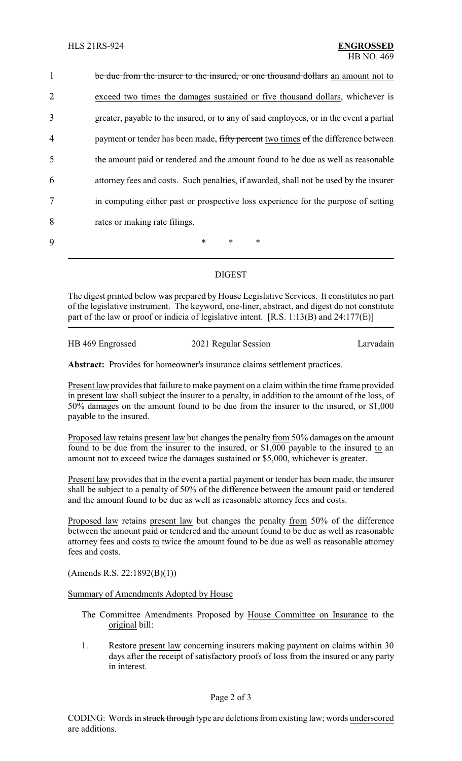| $\mathbf{1}$   | be due from the insurer to the insured, or one thousand dollars an amount not to        |
|----------------|-----------------------------------------------------------------------------------------|
| 2              | exceed two times the damages sustained or five thousand dollars, whichever is           |
| 3              | greater, payable to the insured, or to any of said employees, or in the event a partial |
| $\overline{4}$ | payment or tender has been made, fifty percent two times of the difference between      |
| 5              | the amount paid or tendered and the amount found to be due as well as reasonable        |
| 6              | attorney fees and costs. Such penalties, if awarded, shall not be used by the insurer   |
| 7              | in computing either past or prospective loss experience for the purpose of setting      |
| 8              | rates or making rate filings.                                                           |
| $\mathbf Q$    | *<br>$\ast$<br>$\ast$                                                                   |

# DIGEST

The digest printed below was prepared by House Legislative Services. It constitutes no part of the legislative instrument. The keyword, one-liner, abstract, and digest do not constitute part of the law or proof or indicia of legislative intent.  $[R.S. 1:13(B)$  and  $24:177(E)]$ 

HB 469 Engrossed 2021 Regular Session Larvadain

**Abstract:** Provides for homeowner's insurance claims settlement practices.

Present law provides that failure to make payment on a claim within the time frame provided in present law shall subject the insurer to a penalty, in addition to the amount of the loss, of 50% damages on the amount found to be due from the insurer to the insured, or \$1,000 payable to the insured.

Proposed law retains present law but changes the penalty from 50% damages on the amount found to be due from the insurer to the insured, or \$1,000 payable to the insured to an amount not to exceed twice the damages sustained or \$5,000, whichever is greater.

Present law provides that in the event a partial payment or tender has been made, the insurer shall be subject to a penalty of 50% of the difference between the amount paid or tendered and the amount found to be due as well as reasonable attorney fees and costs.

Proposed law retains present law but changes the penalty from 50% of the difference between the amount paid or tendered and the amount found to be due as well as reasonable attorney fees and costs to twice the amount found to be due as well as reasonable attorney fees and costs.

(Amends R.S. 22:1892(B)(1))

Summary of Amendments Adopted by House

- The Committee Amendments Proposed by House Committee on Insurance to the original bill:
- 1. Restore present law concerning insurers making payment on claims within 30 days after the receipt of satisfactory proofs of loss from the insured or any party in interest.